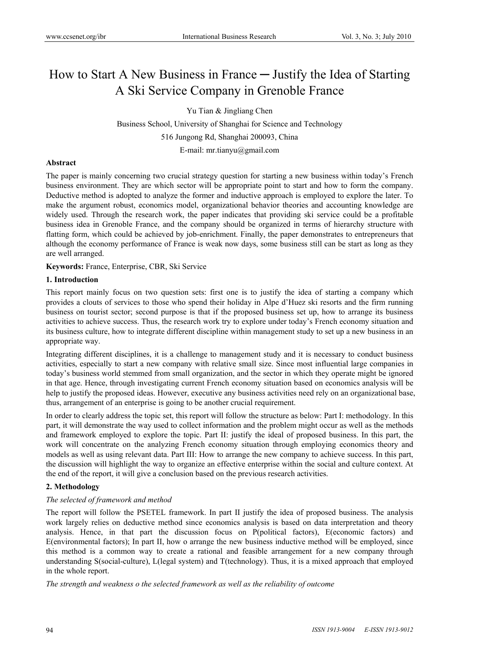# How to Start A New Business in France — Justify the Idea of Starting A Ski Service Company in Grenoble France

Yu Tian & Jingliang Chen

Business School, University of Shanghai for Science and Technology 516 Jungong Rd, Shanghai 200093, China

E-mail: mr.tianyu@gmail.com

## **Abstract**

The paper is mainly concerning two crucial strategy question for starting a new business within today's French business environment. They are which sector will be appropriate point to start and how to form the company. Deductive method is adopted to analyze the former and inductive approach is employed to explore the later. To make the argument robust, economics model, organizational behavior theories and accounting knowledge are widely used. Through the research work, the paper indicates that providing ski service could be a profitable business idea in Grenoble France, and the company should be organized in terms of hierarchy structure with flatting form, which could be achieved by job-enrichment. Finally, the paper demonstrates to entrepreneurs that although the economy performance of France is weak now days, some business still can be start as long as they are well arranged.

**Keywords:** France, Enterprise, CBR, Ski Service

### **1. Introduction**

This report mainly focus on two question sets: first one is to justify the idea of starting a company which provides a clouts of services to those who spend their holiday in Alpe d'Huez ski resorts and the firm running business on tourist sector; second purpose is that if the proposed business set up, how to arrange its business activities to achieve success. Thus, the research work try to explore under today's French economy situation and its business culture, how to integrate different discipline within management study to set up a new business in an appropriate way.

Integrating different disciplines, it is a challenge to management study and it is necessary to conduct business activities, especially to start a new company with relative small size. Since most influential large companies in today's business world stemmed from small organization, and the sector in which they operate might be ignored in that age. Hence, through investigating current French economy situation based on economics analysis will be help to justify the proposed ideas. However, executive any business activities need rely on an organizational base, thus, arrangement of an enterprise is going to be another crucial requirement.

In order to clearly address the topic set, this report will follow the structure as below: Part I: methodology. In this part, it will demonstrate the way used to collect information and the problem might occur as well as the methods and framework employed to explore the topic. Part II: justify the ideal of proposed business. In this part, the work will concentrate on the analyzing French economy situation through employing economics theory and models as well as using relevant data. Part III: How to arrange the new company to achieve success. In this part, the discussion will highlight the way to organize an effective enterprise within the social and culture context. At the end of the report, it will give a conclusion based on the previous research activities.

# **2. Methodology**

# *The selected of framework and method*

The report will follow the PSETEL framework. In part II justify the idea of proposed business. The analysis work largely relies on deductive method since economics analysis is based on data interpretation and theory analysis. Hence, in that part the discussion focus on P(political factors), E(economic factors) and E(environmental factors); In part II, how o arrange the new business inductive method will be employed, since this method is a common way to create a rational and feasible arrangement for a new company through understanding S(social-culture), L(legal system) and T(technology). Thus, it is a mixed approach that employed in the whole report.

*The strength and weakness o the selected framework as well as the reliability of outcome*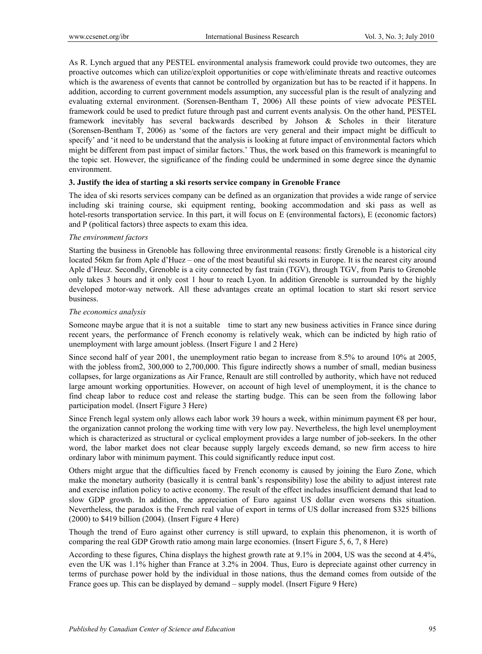As R. Lynch argued that any PESTEL environmental analysis framework could provide two outcomes, they are proactive outcomes which can utilize/exploit opportunities or cope with/eliminate threats and reactive outcomes which is the awareness of events that cannot be controlled by organization but has to be reacted if it happens. In addition, according to current government models assumption, any successful plan is the result of analyzing and evaluating external environment. (Sorensen-Bentham T, 2006) All these points of view advocate PESTEL framework could be used to predict future through past and current events analysis. On the other hand, PESTEL framework inevitably has several backwards described by Johson & Scholes in their literature (Sorensen-Bentham T, 2006) as 'some of the factors are very general and their impact might be difficult to specify' and 'it need to be understand that the analysis is looking at future impact of environmental factors which might be different from past impact of similar factors.' Thus, the work based on this framework is meaningful to the topic set. However, the significance of the finding could be undermined in some degree since the dynamic environment.

#### **3. Justify the idea of starting a ski resorts service company in Grenoble France**

The idea of ski resorts services company can be defined as an organization that provides a wide range of service including ski training course, ski equipment renting, booking accommodation and ski pass as well as hotel-resorts transportation service. In this part, it will focus on E (environmental factors), E (economic factors) and P (political factors) three aspects to exam this idea.

#### *The environment factors*

Starting the business in Grenoble has following three environmental reasons: firstly Grenoble is a historical city located 56km far from Aple d'Huez – one of the most beautiful ski resorts in Europe. It is the nearest city around Aple d'Heuz. Secondly, Grenoble is a city connected by fast train (TGV), through TGV, from Paris to Grenoble only takes 3 hours and it only cost 1 hour to reach Lyon. In addition Grenoble is surrounded by the highly developed motor-way network. All these advantages create an optimal location to start ski resort service business.

#### *The economics analysis*

Someone maybe argue that it is not a suitable time to start any new business activities in France since during recent years, the performance of French economy is relatively weak, which can be indicted by high ratio of unemployment with large amount jobless. (Insert Figure 1 and 2 Here)

Since second half of year 2001, the unemployment ratio began to increase from 8.5% to around 10% at 2005, with the jobless from2, 300,000 to 2,700,000. This figure indirectly shows a number of small, median business collapses, for large organizations as Air France, Renault are still controlled by authority, which have not reduced large amount working opportunities. However, on account of high level of unemployment, it is the chance to find cheap labor to reduce cost and release the starting budge. This can be seen from the following labor participation model. (Insert Figure 3 Here)

Since French legal system only allows each labor work 39 hours a week, within minimum payment €8 per hour, the organization cannot prolong the working time with very low pay. Nevertheless, the high level unemployment which is characterized as structural or cyclical employment provides a large number of job-seekers. In the other word, the labor market does not clear because supply largely exceeds demand, so new firm access to hire ordinary labor with minimum payment. This could significantly reduce input cost.

Others might argue that the difficulties faced by French economy is caused by joining the Euro Zone, which make the monetary authority (basically it is central bank's responsibility) lose the ability to adjust interest rate and exercise inflation policy to active economy. The result of the effect includes insufficient demand that lead to slow GDP growth. In addition, the appreciation of Euro against US dollar even worsens this situation. Nevertheless, the paradox is the French real value of export in terms of US dollar increased from \$325 billions (2000) to \$419 billion (2004). (Insert Figure 4 Here)

Though the trend of Euro against other currency is still upward, to explain this phenomenon, it is worth of comparing the real GDP Growth ratio among main large economies. (Insert Figure 5, 6, 7, 8 Here)

According to these figures, China displays the highest growth rate at 9.1% in 2004, US was the second at 4.4%, even the UK was 1.1% higher than France at 3.2% in 2004. Thus, Euro is depreciate against other currency in terms of purchase power hold by the individual in those nations, thus the demand comes from outside of the France goes up. This can be displayed by demand – supply model. (Insert Figure 9 Here)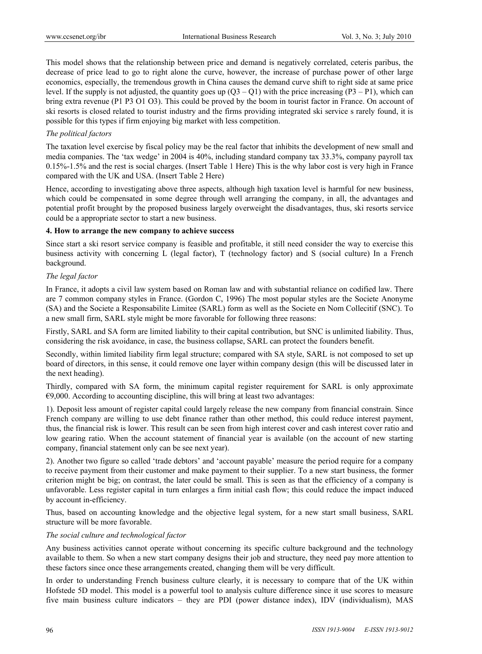This model shows that the relationship between price and demand is negatively correlated, ceteris paribus, the decrease of price lead to go to right alone the curve, however, the increase of purchase power of other large economics, especially, the tremendous growth in China causes the demand curve shift to right side at same price level. If the supply is not adjusted, the quantity goes up  $(Q3 - Q1)$  with the price increasing  $(P3 - P1)$ , which can bring extra revenue (P1 P3 O1 O3). This could be proved by the boom in tourist factor in France. On account of ski resorts is closed related to tourist industry and the firms providing integrated ski service s rarely found, it is possible for this types if firm enjoying big market with less competition.

#### *The political factors*

The taxation level exercise by fiscal policy may be the real factor that inhibits the development of new small and media companies. The 'tax wedge' in 2004 is 40%, including standard company tax 33.3%, company payroll tax 0.15%-1.5% and the rest is social charges. (Insert Table 1 Here) This is the why labor cost is very high in France compared with the UK and USA. (Insert Table 2 Here)

Hence, according to investigating above three aspects, although high taxation level is harmful for new business, which could be compensated in some degree through well arranging the company, in all, the advantages and potential profit brought by the proposed business largely overweight the disadvantages, thus, ski resorts service could be a appropriate sector to start a new business.

#### **4. How to arrange the new company to achieve success**

Since start a ski resort service company is feasible and profitable, it still need consider the way to exercise this business activity with concerning L (legal factor), T (technology factor) and S (social culture) In a French background.

#### *The legal factor*

In France, it adopts a civil law system based on Roman law and with substantial reliance on codified law. There are 7 common company styles in France. (Gordon C, 1996) The most popular styles are the Societe Anonyme (SA) and the Societe a Responsabilite Limitee (SARL) form as well as the Societe en Nom Collecitif (SNC). To a new small firm, SARL style might be more favorable for following three reasons:

Firstly, SARL and SA form are limited liability to their capital contribution, but SNC is unlimited liability. Thus, considering the risk avoidance, in case, the business collapse, SARL can protect the founders benefit.

Secondly, within limited liability firm legal structure; compared with SA style, SARL is not composed to set up board of directors, in this sense, it could remove one layer within company design (this will be discussed later in the next heading).

Thirdly, compared with SA form, the minimum capital register requirement for SARL is only approximate  $\epsilon$ 9,000. According to accounting discipline, this will bring at least two advantages:

1). Deposit less amount of register capital could largely release the new company from financial constrain. Since French company are willing to use debt finance rather than other method, this could reduce interest payment, thus, the financial risk is lower. This result can be seen from high interest cover and cash interest cover ratio and low gearing ratio. When the account statement of financial year is available (on the account of new starting company, financial statement only can be see next year).

2). Another two figure so called 'trade debtors' and 'account payable' measure the period require for a company to receive payment from their customer and make payment to their supplier. To a new start business, the former criterion might be big; on contrast, the later could be small. This is seen as that the efficiency of a company is unfavorable. Less register capital in turn enlarges a firm initial cash flow; this could reduce the impact induced by account in-efficiency.

Thus, based on accounting knowledge and the objective legal system, for a new start small business, SARL structure will be more favorable.

#### *The social culture and technological factor*

Any business activities cannot operate without concerning its specific culture background and the technology available to them. So when a new start company designs their job and structure, they need pay more attention to these factors since once these arrangements created, changing them will be very difficult.

In order to understanding French business culture clearly, it is necessary to compare that of the UK within Hofstede 5D model. This model is a powerful tool to analysis culture difference since it use scores to measure five main business culture indicators – they are PDI (power distance index), IDV (individualism), MAS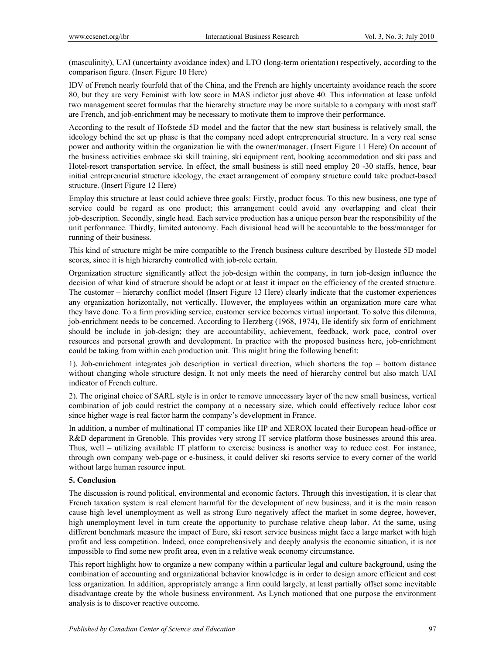(masculinity), UAI (uncertainty avoidance index) and LTO (long-term orientation) respectively, according to the comparison figure. (Insert Figure 10 Here)

IDV of French nearly fourfold that of the China, and the French are highly uncertainty avoidance reach the score 80, but they are very Feminist with low score in MAS indictor just above 40. This information at lease unfold two management secret formulas that the hierarchy structure may be more suitable to a company with most staff are French, and job-enrichment may be necessary to motivate them to improve their performance.

According to the result of Hofstede 5D model and the factor that the new start business is relatively small, the ideology behind the set up phase is that the company need adopt entrepreneurial structure. In a very real sense power and authority within the organization lie with the owner/manager. (Insert Figure 11 Here) On account of the business activities embrace ski skill training, ski equipment rent, booking accommodation and ski pass and Hotel-resort transportation service. In effect, the small business is still need employ 20 -30 staffs, hence, bear initial entrepreneurial structure ideology, the exact arrangement of company structure could take product-based structure. (Insert Figure 12 Here)

Employ this structure at least could achieve three goals: Firstly, product focus. To this new business, one type of service could be regard as one product; this arrangement could avoid any overlapping and cleat their job-description. Secondly, single head. Each service production has a unique person bear the responsibility of the unit performance. Thirdly, limited autonomy. Each divisional head will be accountable to the boss/manager for running of their business.

This kind of structure might be mire compatible to the French business culture described by Hostede 5D model scores, since it is high hierarchy controlled with job-role certain.

Organization structure significantly affect the job-design within the company, in turn job-design influence the decision of what kind of structure should be adopt or at least it impact on the efficiency of the created structure. The customer – hierarchy conflict model (Insert Figure 13 Here) clearly indicate that the customer experiences any organization horizontally, not vertically. However, the employees within an organization more care what they have done. To a firm providing service, customer service becomes virtual important. To solve this dilemma, job-enrichment needs to be concerned. According to Herzberg (1968, 1974), He identify six form of enrichment should be include in job-design; they are accountability, achievement, feedback, work pace, control over resources and personal growth and development. In practice with the proposed business here, job-enrichment could be taking from within each production unit. This might bring the following benefit:

1). Job-enrichment integrates job description in vertical direction, which shortens the top – bottom distance without changing whole structure design. It not only meets the need of hierarchy control but also match UAI indicator of French culture.

2). The original choice of SARL style is in order to remove unnecessary layer of the new small business, vertical combination of job could restrict the company at a necessary size, which could effectively reduce labor cost since higher wage is real factor harm the company's development in France.

In addition, a number of multinational IT companies like HP and XEROX located their European head-office or R&D department in Grenoble. This provides very strong IT service platform those businesses around this area. Thus, well – utilizing available IT platform to exercise business is another way to reduce cost. For instance, through own company web-page or e-business, it could deliver ski resorts service to every corner of the world without large human resource input.

#### **5. Conclusion**

The discussion is round political, environmental and economic factors. Through this investigation, it is clear that French taxation system is real element harmful for the development of new business, and it is the main reason cause high level unemployment as well as strong Euro negatively affect the market in some degree, however, high unemployment level in turn create the opportunity to purchase relative cheap labor. At the same, using different benchmark measure the impact of Euro, ski resort service business might face a large market with high profit and less competition. Indeed, once comprehensively and deeply analysis the economic situation, it is not impossible to find some new profit area, even in a relative weak economy circumstance.

This report highlight how to organize a new company within a particular legal and culture background, using the combination of accounting and organizational behavior knowledge is in order to design amore efficient and cost less organization. In addition, appropriately arrange a firm could largely, at least partially offset some inevitable disadvantage create by the whole business environment. As Lynch motioned that one purpose the environment analysis is to discover reactive outcome.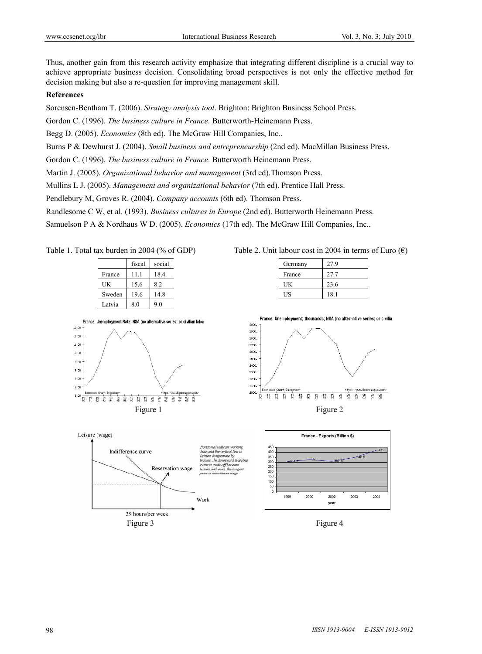Thus, another gain from this research activity emphasize that integrating different discipline is a crucial way to achieve appropriate business decision. Consolidating broad perspectives is not only the effective method for decision making but also a re-question for improving management skill.

## **References**

Sorensen-Bentham T. (2006). *Strategy analysis tool*. Brighton: Brighton Business School Press.

Gordon C. (1996). *The business culture in France*. Butterworth-Heinemann Press.

Begg D. (2005). *Economics* (8th ed). The McGraw Hill Companies, Inc..

Burns P & Dewhurst J. (2004). *Small business and entrepreneurship* (2nd ed). MacMillan Business Press.

Gordon C. (1996). *The business culture in France*. Butterworth Heinemann Press.

Martin J. (2005). *Organizational behavior and management* (3rd ed).Thomson Press.

Mullins L J. (2005). *Management and organizational behavior* (7th ed). Prentice Hall Press.

Pendlebury M, Groves R. (2004). *Company accounts* (6th ed). Thomson Press.

Randlesome C W, et al. (1993). *Business cultures in Europe* (2nd ed). Butterworth Heinemann Press.

Samuelson P A & Nordhaus W D. (2005). *Economics* (17th ed). The McGraw Hill Companies, Inc..



|        | fiscal | social |
|--------|--------|--------|
| France | 11.1   | 18.4   |
| UK     | 15.6   | 8.2    |
| Sweden | 19.6   | 14.8   |
| Latvia | 8.0    | 9.0    |

#### Table 2. Unit labour cost in 2004 in terms of Euro  $(\epsilon)$

| Germany | 27.9 |
|---------|------|
| France  | 27.7 |
| UK      | 23.6 |
| НS      | 181  |



Indifference curve

39 hours/per week

Reservation wage

Work

Leisure (wage)





Figure 3 Figure 4

1999 2000 2002 2003 2004 **year**

419